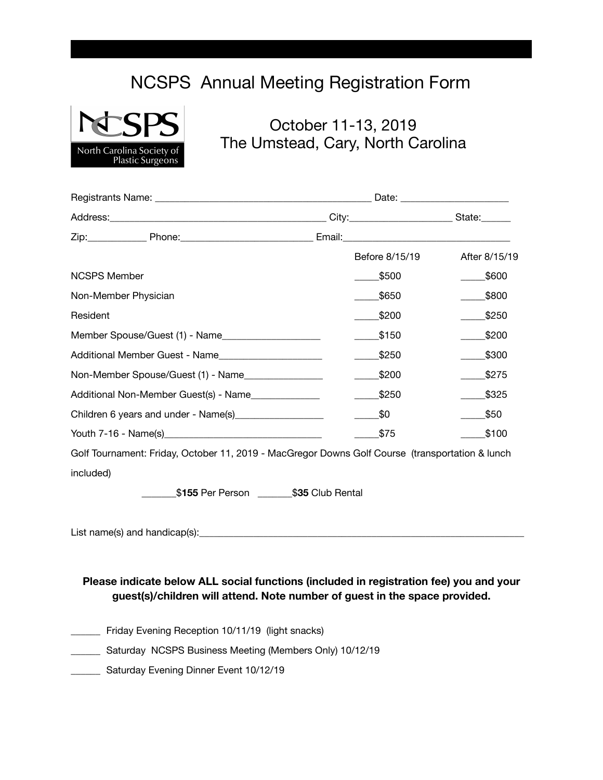## NCSPS Annual Meeting Registration Form



## October 11-13, 2019 The Umstead, Cary, North Carolina

|                                                         | Before 8/15/19 | After 8/15/19 |
|---------------------------------------------------------|----------------|---------------|
| <b>NCSPS Member</b>                                     | \$500          | \$600         |
| Non-Member Physician                                    | \$650          | \$800         |
| Resident                                                | \$200          | \$250         |
| Member Spouse/Guest (1) - Name                          | \$150          | \$200         |
| Additional Member Guest - Name                          | \$250          | \$300         |
| Non-Member Spouse/Guest (1) - Name                      | \$200          | \$275         |
| Additional Non-Member Guest(s) - Name                   | \$250          | \$325         |
| Children 6 years and under - Name(s)___________________ | \$0            | \$50          |
|                                                         | \$75           | \$100         |

Golf Tournament: Friday, October 11, 2019 - MacGregor Downs Golf Course (transportation & lunch included)

 \_\_\_\_\_\_\_\$**155** Per Person \_\_\_\_\_\_\_\$**35** Club Rental

List name(s) and handicap(s): $\Box$ 

## **Please indicate below ALL social functions (included in registration fee) you and your guest(s)/children will attend. Note number of guest in the space provided.**

- \_\_\_\_\_\_ Friday Evening Reception 10/11/19 (light snacks)
- \_\_\_\_\_\_ Saturday NCSPS Business Meeting (Members Only) 10/12/19
- **Example 21 Saturday Evening Dinner Event 10/12/19**